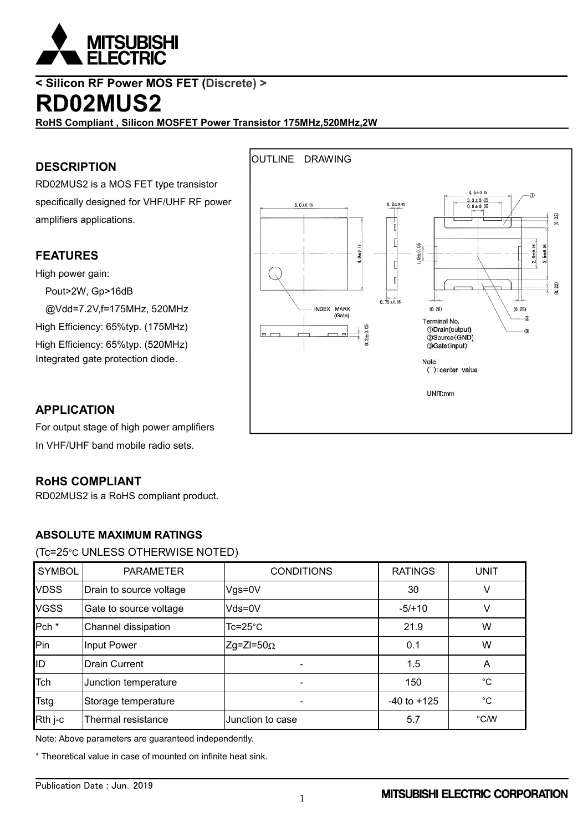

**< Silicon RF Power MOS FET (Discrete) >**

# **RD02MUS2**

**RoHS Compliant , Silicon MOSFET Power Transistor 175MHz,520MHz,2W**

### **DESCRIPTION**

RD02MUS2 is a MOS FET type transistor specifically designed for VHF/UHF RF power amplifiers applications.

### **FEATURES**

High power gain:

Pout>2W, Gp>16dB

@Vdd=7.2V,f=175MHz, 520MHz

High Efficiency: 65%typ. (175MHz) High Efficiency: 65%typ. (520MHz) Integrated gate protection diode.



### **APPLICATION**

For output stage of high power amplifiers In VHF/UHF band mobile radio sets.

### **RoHS COMPLIANT**

RD02MUS2 is a RoHS compliant product.

### **ABSOLUTE MAXIMUM RATINGS**

#### (Tc=25°C UNLESS OTHERWISE NOTED)

| <b>SYMBOL</b>    | <b>PARAMETER</b>        | <b>CONDITIONS</b> | <b>RATINGS</b>  | <b>UNIT</b> |
|------------------|-------------------------|-------------------|-----------------|-------------|
| <b>VDSS</b>      | Drain to source voltage | Vgs=0V            | 30              |             |
| <b>VGSS</b>      | Gate to source voltage  | Vds=0V            | $-5/+10$        |             |
| Pch <sup>*</sup> | Channel dissipation     | Tc=25°C           | 21.9            | W           |
| Pin              | Input Power             | $Zg=ZI=50\Omega$  | 0.1             | W           |
| ID               | <b>Drain Current</b>    |                   | 1.5             | A           |
| Tch              | Junction temperature    |                   | 150             | °C          |
| <b>Tstg</b>      | Storage temperature     |                   | $-40$ to $+125$ | °C          |
| Rth j-c          | Thermal resistance      | Junction to case  | 5.7             | °C/W        |

Note: Above parameters are guaranteed independently.

\* Theoretical value in case of mounted on infinite heat sink.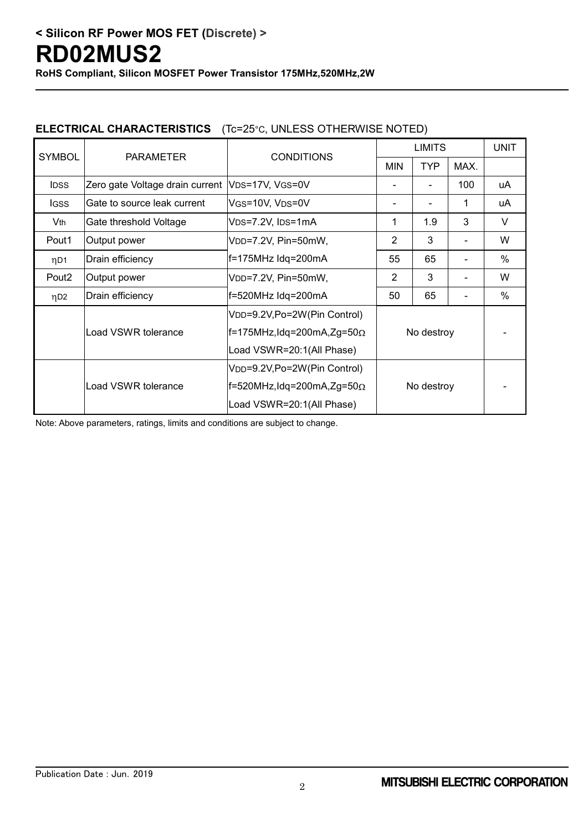### **ELECTRICAL CHARACTERISTICS** (Tc=25°C, UNLESS OTHERWISE NOTED)

| <b>SYMBOL</b>     | <b>PARAMETER</b>                                  | <b>CONDITIONS</b>                                  |                | <b>UNIT</b> |      |               |
|-------------------|---------------------------------------------------|----------------------------------------------------|----------------|-------------|------|---------------|
|                   |                                                   |                                                    | <b>MIN</b>     | <b>TYP</b>  | MAX. |               |
| <b>IDSS</b>       | Zero gate Voltage drain current   VDS=17V, VGS=0V |                                                    |                |             | 100  | uA            |
| <b>IGSS</b>       | Gate to source leak current                       | VGS=10V, VDS=0V                                    |                |             | 1    | uA            |
| Vth               | Gate threshold Voltage                            | V <sub>DS</sub> =7.2V, I <sub>DS</sub> =1mA        | 1              | 1.9         | 3    | V             |
| Pout1             | Output power                                      | VDD=7.2V, Pin=50mW,                                | $\overline{2}$ | 3           |      | W             |
| ηD1               | Drain efficiency                                  | f=175MHz Idq=200mA                                 | 55             | 65          |      | $\frac{0}{0}$ |
| Pout <sub>2</sub> | Output power                                      | VDD=7.2V, Pin=50mW,                                | 2              | 3           |      | W             |
| ηD <sub>2</sub>   | Drain efficiency                                  | f=520MHz Idq=200mA                                 | 50             | 65          |      | %             |
|                   |                                                   | VDD=9.2V,Po=2W(Pin Control)                        |                |             |      |               |
|                   | Load VSWR tolerance                               | $F=175$ MHz,Idq=200mA,Zg=50 $\Omega$<br>No destroy |                |             |      |               |
|                   |                                                   | Load VSWR=20:1(All Phase)                          |                |             |      |               |
|                   |                                                   | VDD=9.2V,Po=2W(Pin Control)                        | No destroy     |             |      |               |
|                   | Load VSWR tolerance                               | f=520MHz,Idq=200mA,Zg=50 $\Omega$                  |                |             |      |               |
|                   |                                                   | Load VSWR=20:1(All Phase)                          |                |             |      |               |

Note: Above parameters, ratings, limits and conditions are subject to change.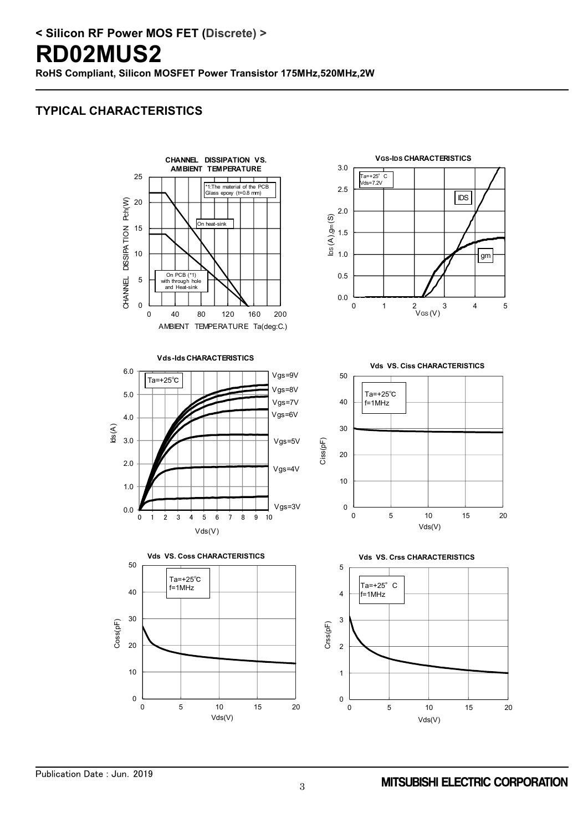# **RD02MUS2**

**RoHS Compliant, Silicon MOSFET Power Transistor 175MHz,520MHz,2W**

## **TYPICAL CHARACTERISTICS**















Publication Date : Jun.2019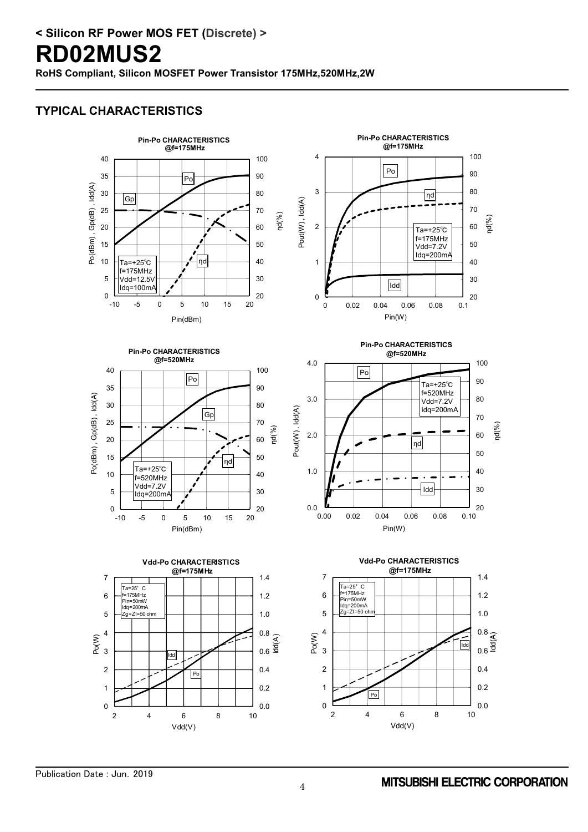**RoHS Compliant, Silicon MOSFET Power Transistor 175MHz,520MHz,2W**

## **TYPICAL CHARACTERISTICS**

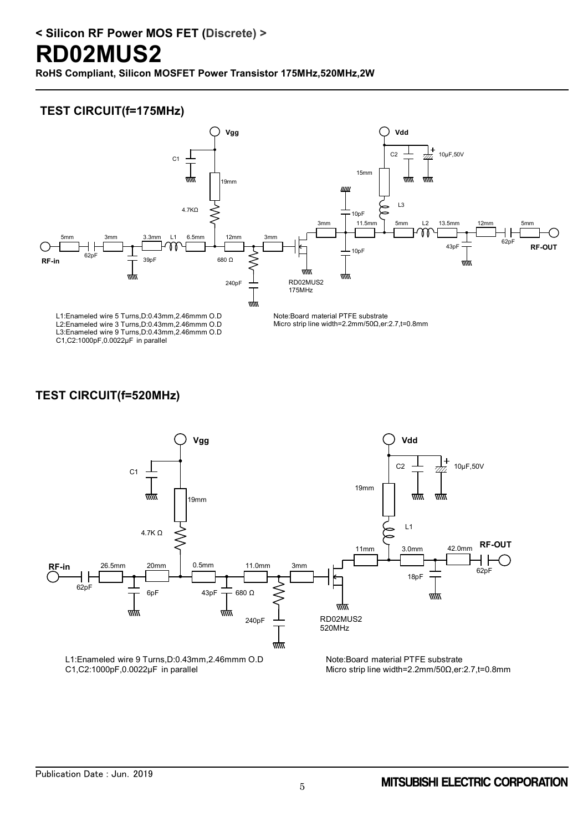# **RD02MUS2**

**RoHS Compliant, Silicon MOSFET Power Transistor 175MHz,520MHz,2W**

### **TEST CIRCUIT(f=175MHz)**



L2:Enameled wire 3 Turns,D:0.43mm,2.46mmm O.D L3:Enameled wire 9 Turns,D:0.43mm,2.46mmm O.D C1,C2:1000pF,0.0022μF in parallel

Micro strip line width=2.2mm/50Ω,er:2.7,t=0.8mm

### **TEST CIRCUIT(f=520MHz)**

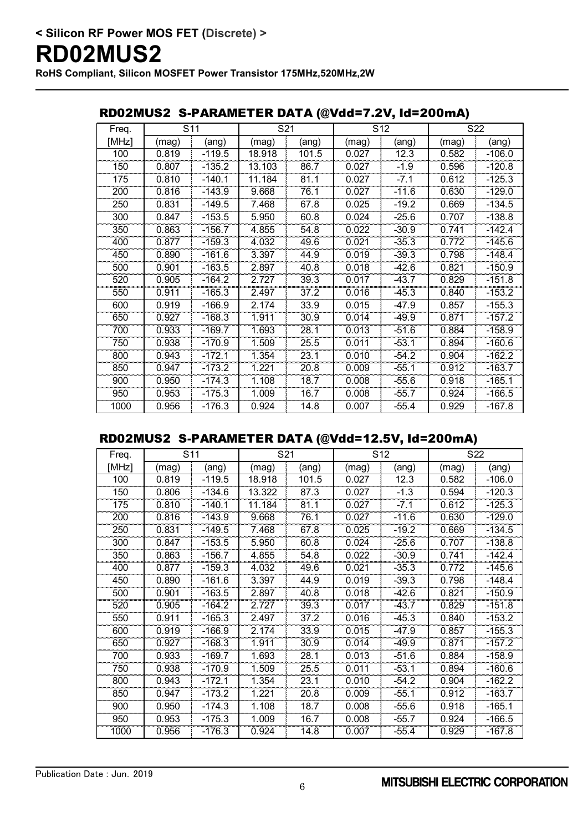### RD02MUS2 S-PARAMETER DATA (@Vdd=7.2V, Id=200mA)

| Freq. | S <sub>11</sub> |          | S21    |       | S <sub>12</sub> |         | S22   |          |
|-------|-----------------|----------|--------|-------|-----------------|---------|-------|----------|
| [MHz] | (mag)           | (ang)    | (mag)  | (ang) | (mag)           | (ang)   | (mag) | (ang)    |
| 100   | 0.819           | $-119.5$ | 18.918 | 101.5 | 0.027           | 12.3    | 0.582 | $-106.0$ |
| 150   | 0.807           | $-135.2$ | 13.103 | 86.7  | 0.027           | $-1.9$  | 0.596 | $-120.8$ |
| 175   | 0.810           | $-140.1$ | 11.184 | 81.1  | 0.027           | $-7.1$  | 0.612 | $-125.3$ |
| 200   | 0.816           | $-143.9$ | 9.668  | 76.1  | 0.027           | $-11.6$ | 0.630 | $-129.0$ |
| 250   | 0.831           | $-149.5$ | 7.468  | 67.8  | 0.025           | $-19.2$ | 0.669 | $-134.5$ |
| 300   | 0.847           | $-153.5$ | 5.950  | 60.8  | 0.024           | $-25.6$ | 0.707 | $-138.8$ |
| 350   | 0.863           | $-156.7$ | 4.855  | 54.8  | 0.022           | $-30.9$ | 0.741 | $-142.4$ |
| 400   | 0.877           | $-159.3$ | 4.032  | 49.6  | 0.021           | $-35.3$ | 0.772 | $-145.6$ |
| 450   | 0.890           | $-161.6$ | 3.397  | 44.9  | 0.019           | $-39.3$ | 0.798 | $-148.4$ |
| 500   | 0.901           | $-163.5$ | 2.897  | 40.8  | 0.018           | $-42.6$ | 0.821 | $-150.9$ |
| 520   | 0.905           | $-164.2$ | 2.727  | 39.3  | 0.017           | $-43.7$ | 0.829 | $-151.8$ |
| 550   | 0.911           | $-165.3$ | 2.497  | 37.2  | 0.016           | $-45.3$ | 0.840 | $-153.2$ |
| 600   | 0.919           | $-166.9$ | 2.174  | 33.9  | 0.015           | $-47.9$ | 0.857 | $-155.3$ |
| 650   | 0.927           | $-168.3$ | 1.911  | 30.9  | 0.014           | $-49.9$ | 0.871 | $-157.2$ |
| 700   | 0.933           | $-169.7$ | 1.693  | 28.1  | 0.013           | $-51.6$ | 0.884 | $-158.9$ |
| 750   | 0.938           | $-170.9$ | 1.509  | 25.5  | 0.011           | $-53.1$ | 0.894 | $-160.6$ |
| 800   | 0.943           | $-172.1$ | 1.354  | 23.1  | 0.010           | $-54.2$ | 0.904 | $-162.2$ |
| 850   | 0.947           | $-173.2$ | 1.221  | 20.8  | 0.009           | $-55.1$ | 0.912 | $-163.7$ |
| 900   | 0.950           | $-174.3$ | 1.108  | 18.7  | 0.008           | $-55.6$ | 0.918 | $-165.1$ |
| 950   | 0.953           | $-175.3$ | 1.009  | 16.7  | 0.008           | $-55.7$ | 0.924 | -166.5   |
| 1000  | 0.956           | $-176.3$ | 0.924  | 14.8  | 0.007           | $-55.4$ | 0.929 | $-167.8$ |

### RD02MUS2 S-PARAMETER DATA (@Vdd=12.5V, Id=200mA)

| Freq. | S <sub>11</sub> |          | S21    |       | S <sub>12</sub> |         | S22   |          |
|-------|-----------------|----------|--------|-------|-----------------|---------|-------|----------|
| [MHz] | (mag)           | (ang)    | (mag)  | (ang) | (mag)           | (ang)   | (mag) | (ang)    |
| 100   | 0.819           | -119.5   | 18.918 | 101.5 | 0.027           | 12.3    | 0.582 | $-106.0$ |
| 150   | 0.806           | $-134.6$ | 13.322 | 87.3  | 0.027           | $-1.3$  | 0.594 | $-120.3$ |
| 175   | 0.810           | $-140.1$ | 11.184 | 81.1  | 0.027           | $-7.1$  | 0.612 | $-125.3$ |
| 200   | 0.816           | $-143.9$ | 9.668  | 76.1  | 0.027           | $-11.6$ | 0.630 | $-129.0$ |
| 250   | 0.831           | $-149.5$ | 7.468  | 67.8  | 0.025           | $-19.2$ | 0.669 | $-134.5$ |
| 300   | 0.847           | $-153.5$ | 5.950  | 60.8  | 0.024           | $-25.6$ | 0.707 | $-138.8$ |
| 350   | 0.863           | $-156.7$ | 4.855  | 54.8  | 0.022           | $-30.9$ | 0.741 | $-142.4$ |
| 400   | 0.877           | $-159.3$ | 4.032  | 49.6  | 0.021           | $-35.3$ | 0.772 | $-145.6$ |
| 450   | 0.890           | $-161.6$ | 3.397  | 44.9  | 0.019           | $-39.3$ | 0.798 | $-148.4$ |
| 500   | 0.901           | $-163.5$ | 2.897  | 40.8  | 0.018           | $-42.6$ | 0.821 | $-150.9$ |
| 520   | 0.905           | -164.2   | 2.727  | 39.3  | 0.017           | -43.7   | 0.829 | $-151.8$ |
| 550   | 0.911           | $-165.3$ | 2.497  | 37.2  | 0.016           | $-45.3$ | 0.840 | $-153.2$ |
| 600   | 0.919           | -166.9   | 2.174  | 33.9  | 0.015           | -47.9   | 0.857 | $-155.3$ |
| 650   | 0.927           | $-168.3$ | 1.911  | 30.9  | 0.014           | $-49.9$ | 0.871 | $-157.2$ |
| 700   | 0.933           | $-169.7$ | 1.693  | 28.1  | 0.013           | $-51.6$ | 0.884 | $-158.9$ |
| 750   | 0.938           | $-170.9$ | 1.509  | 25.5  | 0.011           | $-53.1$ | 0.894 | $-160.6$ |
| 800   | 0.943           | $-172.1$ | 1.354  | 23.1  | 0.010           | $-54.2$ | 0.904 | $-162.2$ |
| 850   | 0.947           | $-173.2$ | 1.221  | 20.8  | 0.009           | $-55.1$ | 0.912 | $-163.7$ |
| 900   | 0.950           | -174.3   | 1.108  | 18.7  | 0.008           | $-55.6$ | 0.918 | $-165.1$ |
| 950   | 0.953           | $-175.3$ | 1.009  | 16.7  | 0.008           | $-55.7$ | 0.924 | $-166.5$ |
| 1000  | 0.956           | -176.3   | 0.924  | 14.8  | 0.007           | $-55.4$ | 0.929 | $-167.8$ |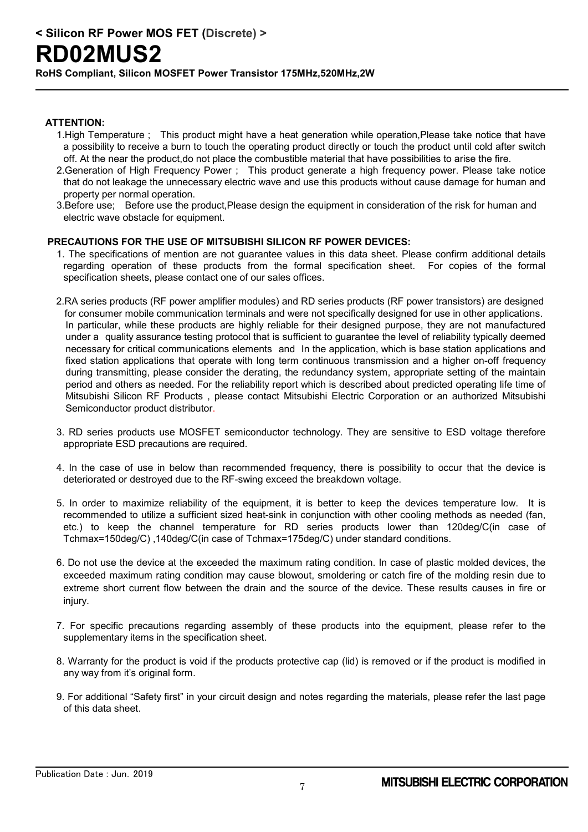# **RD02MUS2**

**RoHS Compliant, Silicon MOSFET Power Transistor 175MHz,520MHz,2W**

#### **ATTENTION:**

- 1.High Temperature ; This product might have a heat generation while operation,Please take notice that have a possibility to receive a burn to touch the operating product directly or touch the product until cold after switch off. At the near the product,do not place the combustible material that have possibilities to arise the fire.
- 2.Generation of High Frequency Power ; This product generate a high frequency power. Please take notice that do not leakage the unnecessary electric wave and use this products without cause damage for human and property per normal operation.
- 3.Before use; Before use the product,Please design the equipment in consideration of the risk for human and electric wave obstacle for equipment.

#### **PRECAUTIONS FOR THE USE OF MITSUBISHI SILICON RF POWER DEVICES:**

- 1. The specifications of mention are not guarantee values in this data sheet. Please confirm additional details regarding operation of these products from the formal specification sheet. For copies of the formal specification sheets, please contact one of our sales offices.
- 2.RA series products (RF power amplifier modules) and RD series products (RF power transistors) are designed for consumer mobile communication terminals and were not specifically designed for use in other applications. In particular, while these products are highly reliable for their designed purpose, they are not manufactured under a quality assurance testing protocol that is sufficient to guarantee the level of reliability typically deemed necessary for critical communications elements and In the application, which is base station applications and fixed station applications that operate with long term continuous transmission and a higher on-off frequency during transmitting, please consider the derating, the redundancy system, appropriate setting of the maintain period and others as needed. For the reliability report which is described about predicted operating life time of Mitsubishi Silicon RF Products , please contact Mitsubishi Electric Corporation or an authorized Mitsubishi Semiconductor product distributor.
- 3. RD series products use MOSFET semiconductor technology. They are sensitive to ESD voltage therefore appropriate ESD precautions are required.
- 4. In the case of use in below than recommended frequency, there is possibility to occur that the device is deteriorated or destroyed due to the RF-swing exceed the breakdown voltage.
- 5. In order to maximize reliability of the equipment, it is better to keep the devices temperature low. It is recommended to utilize a sufficient sized heat-sink in conjunction with other cooling methods as needed (fan, etc.) to keep the channel temperature for RD series products lower than 120deg/C(in case of Tchmax=150deg/C) ,140deg/C(in case of Tchmax=175deg/C) under standard conditions.
- 6. Do not use the device at the exceeded the maximum rating condition. In case of plastic molded devices, the exceeded maximum rating condition may cause blowout, smoldering or catch fire of the molding resin due to extreme short current flow between the drain and the source of the device. These results causes in fire or injury.
- 7. For specific precautions regarding assembly of these products into the equipment, please refer to the supplementary items in the specification sheet.
- 8. Warranty for the product is void if the products protective cap (lid) is removed or if the product is modified in any way from it's original form.
- 9. For additional "Safety first" in your circuit design and notes regarding the materials, please refer the last page of this data sheet.